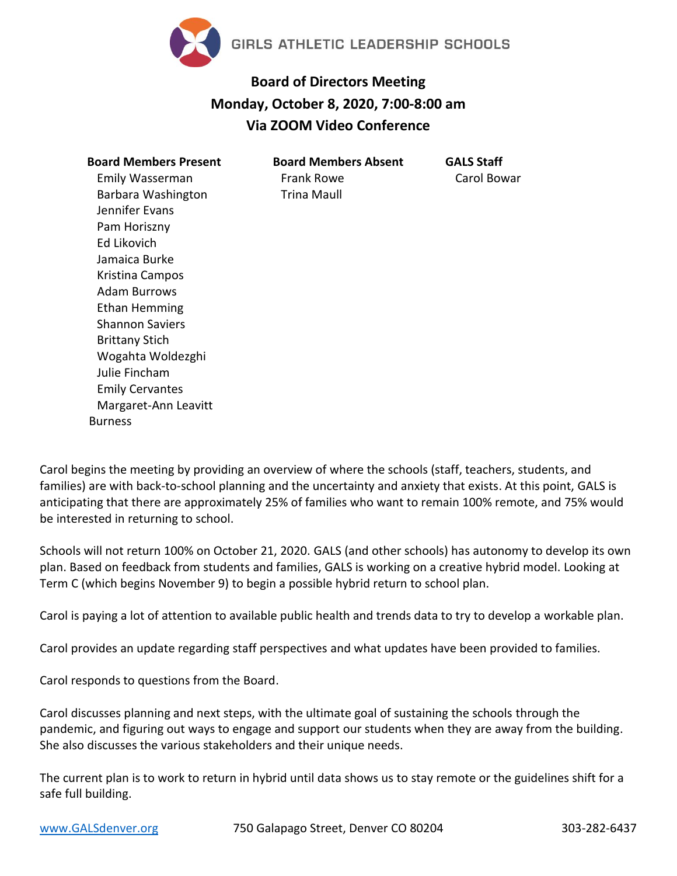

## **Board of Directors Meeting Monday, October 8, 2020, 7:00-8:00 am Via ZOOM Video Conference**

| <b>Board Members Present</b> |
|------------------------------|
| Emily Wasserman              |
| Barbara Washington           |
| Jennifer Evans               |
| Pam Horiszny                 |
| Fd Likovich                  |
| Jamaica Burke                |
| Kristina Campos              |
| Adam Burrows                 |
| Ethan Hemming                |
| Shannon Saviers              |
| Brittany Stich               |
| Wogahta Woldezghi            |
| Julie Fincham                |
| <b>Emily Cervantes</b>       |
| Margaret-Ann Leavitt         |
| Burness                      |

**Board Members Absent** Frank Rowe Trina Maull

**GALS Staff** Carol Bowar

Carol begins the meeting by providing an overview of where the schools (staff, teachers, students, and families) are with back-to-school planning and the uncertainty and anxiety that exists. At this point, GALS is anticipating that there are approximately 25% of families who want to remain 100% remote, and 75% would be interested in returning to school.

Schools will not return 100% on October 21, 2020. GALS (and other schools) has autonomy to develop its own plan. Based on feedback from students and families, GALS is working on a creative hybrid model. Looking at Term C (which begins November 9) to begin a possible hybrid return to school plan.

Carol is paying a lot of attention to available public health and trends data to try to develop a workable plan.

Carol provides an update regarding staff perspectives and what updates have been provided to families.

Carol responds to questions from the Board.

Carol discusses planning and next steps, with the ultimate goal of sustaining the schools through the pandemic, and figuring out ways to engage and support our students when they are away from the building. She also discusses the various stakeholders and their unique needs.

The current plan is to work to return in hybrid until data shows us to stay remote or the guidelines shift for a safe full building.